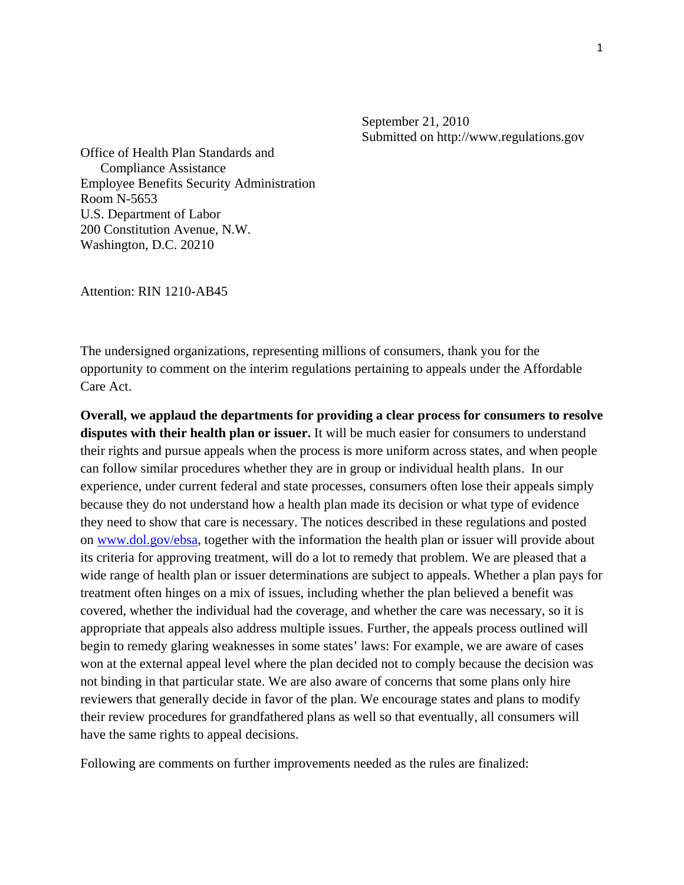September 21, 2010 Submitted on http://www.regulations.gov

Office of Health Plan Standards and Compliance Assistance Employee Benefits Security Administration Room N-5653 U.S. Department of Labor 200 Constitution Avenue, N.W. Washington, D.C. 20210

Attention: RIN 1210-AB45

The undersigned organizations, representing millions of consumers, thank you for the opportunity to comment on the interim regulations pertaining to appeals under the Affordable Care Act.

**Overall, we applaud the departments for providing a clear process for consumers to resolve disputes with their health plan or issuer.** It will be much easier for consumers to understand their rights and pursue appeals when the process is more uniform across states, and when people can follow similar procedures whether they are in group or individual health plans. In our experience, under current federal and state processes, consumers often lose their appeals simply because they do not understand how a health plan made its decision or what type of evidence they need to show that care is necessary. The notices described in these regulations and posted on [www.dol.gov/ebsa](http://www.dol.gov/ebsa), together with the information the health plan or issuer will provide about its criteria for approving treatment, will do a lot to remedy that problem. We are pleased that a wide range of health plan or issuer determinations are subject to appeals. Whether a plan pays for treatment often hinges on a mix of issues, including whether the plan believed a benefit was covered, whether the individual had the coverage, and whether the care was necessary, so it is appropriate that appeals also address multiple issues. Further, the appeals process outlined will begin to remedy glaring weaknesses in some states' laws: For example, we are aware of cases won at the external appeal level where the plan decided not to comply because the decision was not binding in that particular state. We are also aware of concerns that some plans only hire reviewers that generally decide in favor of the plan. We encourage states and plans to modify their review procedures for grandfathered plans as well so that eventually, all consumers will have the same rights to appeal decisions.

Following are comments on further improvements needed as the rules are finalized: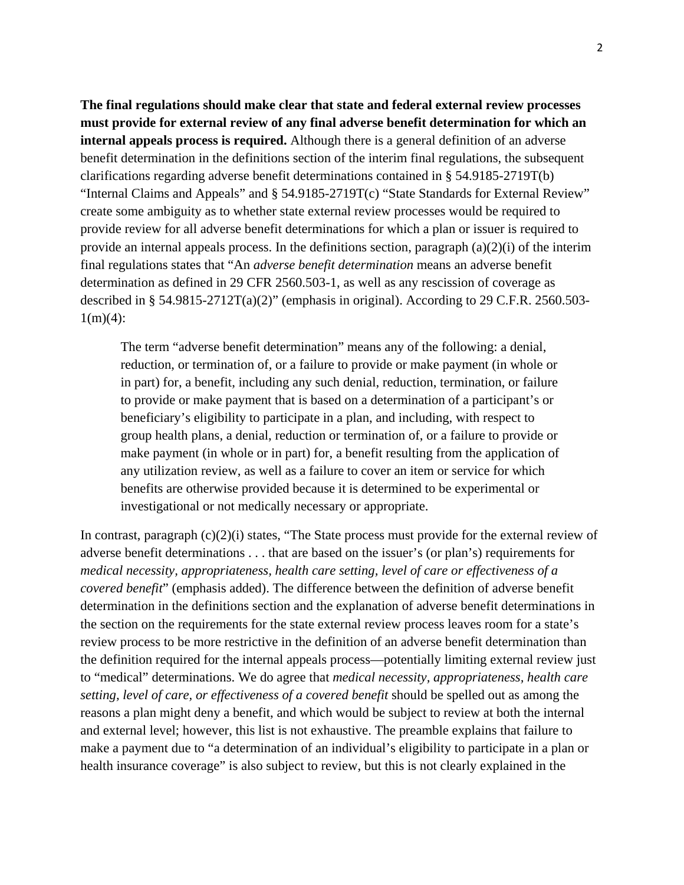**The final regulations should make clear that state and federal external review processes must provide for external review of any final adverse benefit determination for which an internal appeals process is required.** Although there is a general definition of an adverse benefit determination in the definitions section of the interim final regulations, the subsequent clarifications regarding adverse benefit determinations contained in § 54.9185-2719T(b) "Internal Claims and Appeals" and § 54.9185-2719T(c) "State Standards for External Review" create some ambiguity as to whether state external review processes would be required to provide review for all adverse benefit determinations for which a plan or issuer is required to provide an internal appeals process. In the definitions section, paragraph  $(a)(2)(i)$  of the interim final regulations states that "An *adverse benefit determination* means an adverse benefit determination as defined in 29 CFR 2560.503-1, as well as any rescission of coverage as described in § 54.9815-2712T(a)(2)" (emphasis in original). According to 29 C.F.R. 2560.503-  $1(m)(4)$ :

The term "adverse benefit determination" means any of the following: a denial, reduction, or termination of, or a failure to provide or make payment (in whole or in part) for, a benefit, including any such denial, reduction, termination, or failure to provide or make payment that is based on a determination of a participant's or beneficiary's eligibility to participate in a plan, and including, with respect to group health plans, a denial, reduction or termination of, or a failure to provide or make payment (in whole or in part) for, a benefit resulting from the application of any utilization review, as well as a failure to cover an item or service for which benefits are otherwise provided because it is determined to be experimental or investigational or not medically necessary or appropriate.

In contrast, paragraph  $(c)(2)(i)$  states, "The State process must provide for the external review of adverse benefit determinations . . . that are based on the issuer's (or plan's) requirements for *medical necessity, appropriateness, health care setting, level of care or effectiveness of a covered benefit*" (emphasis added). The difference between the definition of adverse benefit determination in the definitions section and the explanation of adverse benefit determinations in the section on the requirements for the state external review process leaves room for a state's review process to be more restrictive in the definition of an adverse benefit determination than the definition required for the internal appeals process—potentially limiting external review just to "medical" determinations. We do agree that *medical necessity, appropriateness, health care setting, level of care, or effectiveness of a covered benefit* should be spelled out as among the reasons a plan might deny a benefit, and which would be subject to review at both the internal and external level; however, this list is not exhaustive. The preamble explains that failure to make a payment due to "a determination of an individual's eligibility to participate in a plan or health insurance coverage" is also subject to review, but this is not clearly explained in the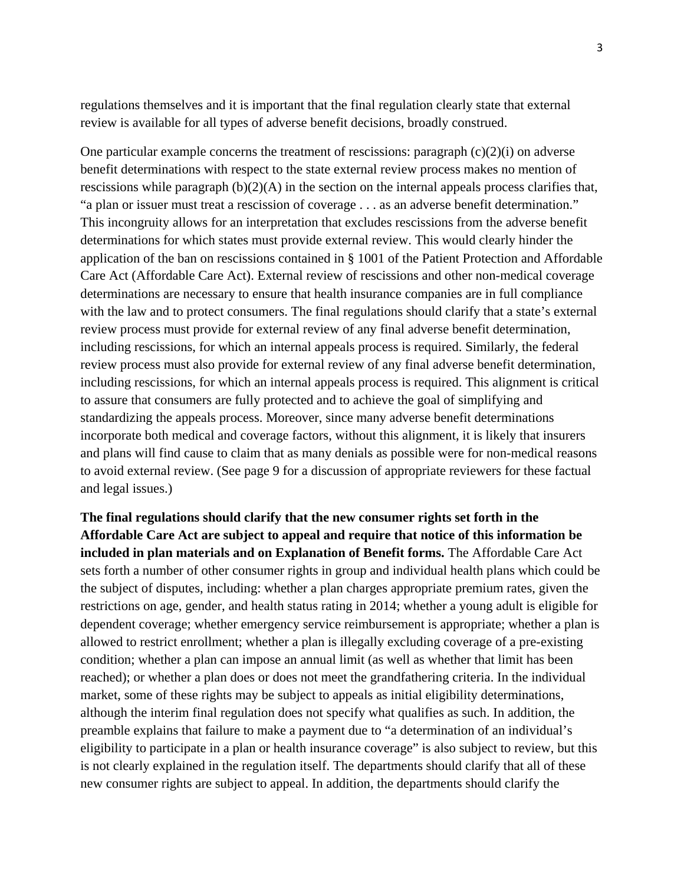regulations themselves and it is important that the final regulation clearly state that external review is available for all types of adverse benefit decisions, broadly construed.

One particular example concerns the treatment of rescissions: paragraph  $(c)(2)(i)$  on adverse benefit determinations with respect to the state external review process makes no mention of rescissions while paragraph  $(b)(2)(A)$  in the section on the internal appeals process clarifies that, "a plan or issuer must treat a rescission of coverage . . . as an adverse benefit determination." This incongruity allows for an interpretation that excludes rescissions from the adverse benefit determinations for which states must provide external review. This would clearly hinder the application of the ban on rescissions contained in § 1001 of the Patient Protection and Affordable Care Act (Affordable Care Act). External review of rescissions and other non-medical coverage determinations are necessary to ensure that health insurance companies are in full compliance with the law and to protect consumers. The final regulations should clarify that a state's external review process must provide for external review of any final adverse benefit determination, including rescissions, for which an internal appeals process is required. Similarly, the federal review process must also provide for external review of any final adverse benefit determination, including rescissions, for which an internal appeals process is required. This alignment is critical to assure that consumers are fully protected and to achieve the goal of simplifying and standardizing the appeals process. Moreover, since many adverse benefit determinations incorporate both medical and coverage factors, without this alignment, it is likely that insurers and plans will find cause to claim that as many denials as possible were for non-medical reasons to avoid external review. (See page 9 for a discussion of appropriate reviewers for these factual and legal issues.)

**The final regulations should clarify that the new consumer rights set forth in the Affordable Care Act are subject to appeal and require that notice of this information be included in plan materials and on Explanation of Benefit forms.** The Affordable Care Act sets forth a number of other consumer rights in group and individual health plans which could be the subject of disputes, including: whether a plan charges appropriate premium rates, given the restrictions on age, gender, and health status rating in 2014; whether a young adult is eligible for dependent coverage; whether emergency service reimbursement is appropriate; whether a plan is allowed to restrict enrollment; whether a plan is illegally excluding coverage of a pre-existing condition; whether a plan can impose an annual limit (as well as whether that limit has been reached); or whether a plan does or does not meet the grandfathering criteria. In the individual market, some of these rights may be subject to appeals as initial eligibility determinations, although the interim final regulation does not specify what qualifies as such. In addition, the preamble explains that failure to make a payment due to "a determination of an individual's eligibility to participate in a plan or health insurance coverage" is also subject to review, but this is not clearly explained in the regulation itself. The departments should clarify that all of these new consumer rights are subject to appeal. In addition, the departments should clarify the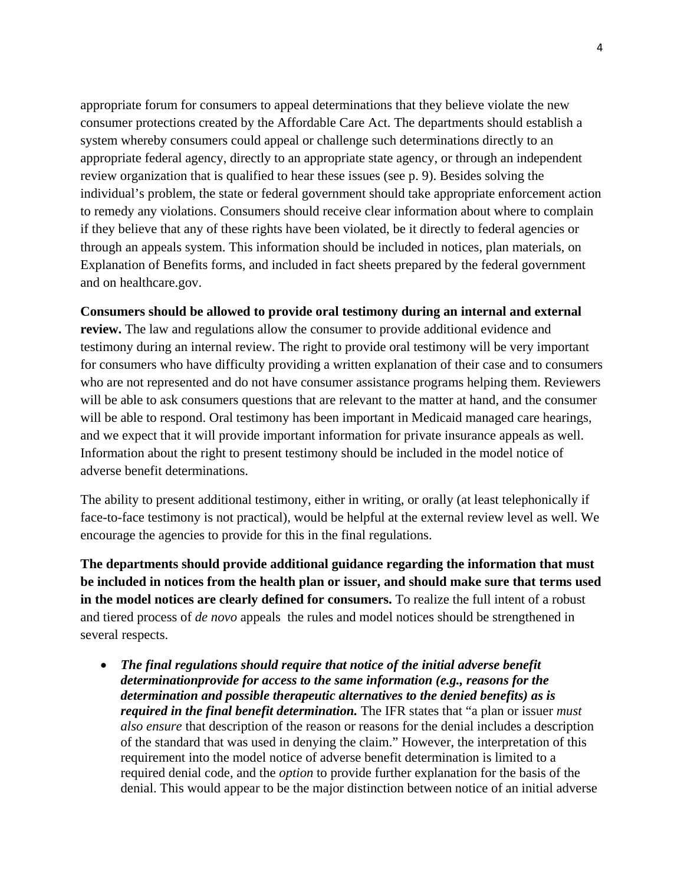appropriate forum for consumers to appeal determinations that they believe violate the new consumer protections created by the Affordable Care Act. The departments should establish a system whereby consumers could appeal or challenge such determinations directly to an appropriate federal agency, directly to an appropriate state agency, or through an independent review organization that is qualified to hear these issues (see p. 9). Besides solving the individual's problem, the state or federal government should take appropriate enforcement action to remedy any violations. Consumers should receive clear information about where to complain if they believe that any of these rights have been violated, be it directly to federal agencies or through an appeals system. This information should be included in notices, plan materials, on Explanation of Benefits forms, and included in fact sheets prepared by the federal government and on healthcare.gov.

## **Consumers should be allowed to provide oral testimony during an internal and external**

**review.** The law and regulations allow the consumer to provide additional evidence and testimony during an internal review. The right to provide oral testimony will be very important for consumers who have difficulty providing a written explanation of their case and to consumers who are not represented and do not have consumer assistance programs helping them. Reviewers will be able to ask consumers questions that are relevant to the matter at hand, and the consumer will be able to respond. Oral testimony has been important in Medicaid managed care hearings, and we expect that it will provide important information for private insurance appeals as well. Information about the right to present testimony should be included in the model notice of adverse benefit determinations.

The ability to present additional testimony, either in writing, or orally (at least telephonically if face-to-face testimony is not practical), would be helpful at the external review level as well. We encourage the agencies to provide for this in the final regulations.

**The departments should provide additional guidance regarding the information that must be included in notices from the health plan or issuer, and should make sure that terms used in the model notices are clearly defined for consumers.** To realize the full intent of a robust and tiered process of *de novo* appeals the rules and model notices should be strengthened in several respects.

 *The final regulations should require that notice of the initial adverse benefit determinationprovide for access to the same information (e.g., reasons for the determination and possible therapeutic alternatives to the denied benefits) as is required in the final benefit determination.* The IFR states that "a plan or issuer *must also ensure* that description of the reason or reasons for the denial includes a description of the standard that was used in denying the claim." However, the interpretation of this requirement into the model notice of adverse benefit determination is limited to a required denial code, and the *option* to provide further explanation for the basis of the denial. This would appear to be the major distinction between notice of an initial adverse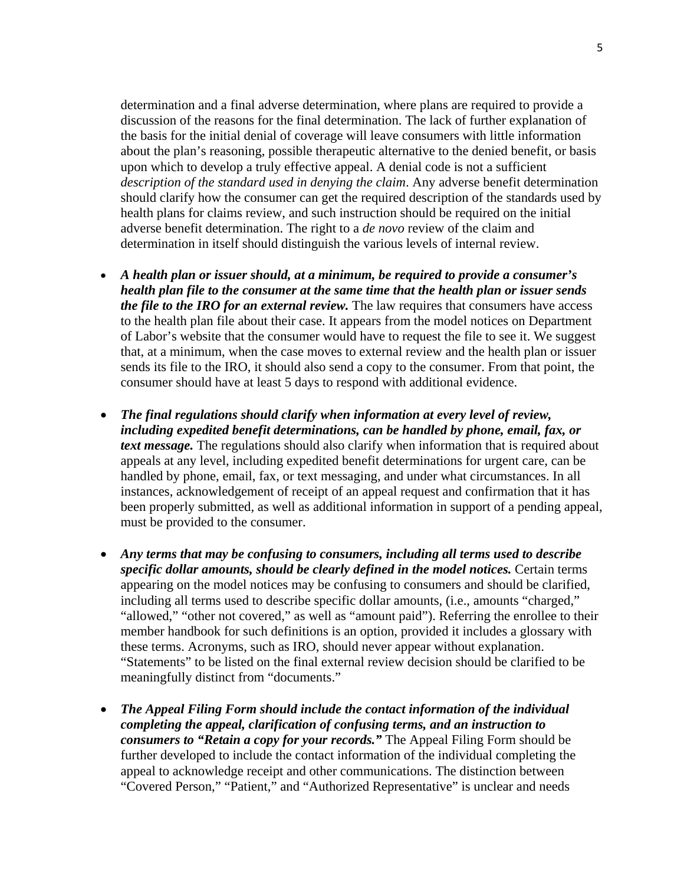determination and a final adverse determination, where plans are required to provide a discussion of the reasons for the final determination. The lack of further explanation of the basis for the initial denial of coverage will leave consumers with little information about the plan's reasoning, possible therapeutic alternative to the denied benefit, or basis upon which to develop a truly effective appeal. A denial code is not a sufficient *description of the standard used in denying the claim*. Any adverse benefit determination should clarify how the consumer can get the required description of the standards used by health plans for claims review, and such instruction should be required on the initial adverse benefit determination. The right to a *de novo* review of the claim and determination in itself should distinguish the various levels of internal review.

- *A health plan or issuer should, at a minimum, be required to provide a consumer's health plan file to the consumer at the same time that the health plan or issuer sends the file to the IRO for an external review.* The law requires that consumers have access to the health plan file about their case. It appears from the model notices on Department of Labor's website that the consumer would have to request the file to see it. We suggest that, at a minimum, when the case moves to external review and the health plan or issuer sends its file to the IRO, it should also send a copy to the consumer. From that point, the consumer should have at least 5 days to respond with additional evidence.
- *The final regulations should clarify when information at every level of review, including expedited benefit determinations, can be handled by phone, email, fax, or text message*. The regulations should also clarify when information that is required about appeals at any level, including expedited benefit determinations for urgent care, can be handled by phone, email, fax, or text messaging, and under what circumstances. In all instances, acknowledgement of receipt of an appeal request and confirmation that it has been properly submitted, as well as additional information in support of a pending appeal, must be provided to the consumer.
- *Any terms that may be confusing to consumers, including all terms used to describe specific dollar amounts, should be clearly defined in the model notices.* Certain terms appearing on the model notices may be confusing to consumers and should be clarified, including all terms used to describe specific dollar amounts, (i.e., amounts "charged," "allowed," "other not covered," as well as "amount paid"). Referring the enrollee to their member handbook for such definitions is an option, provided it includes a glossary with these terms. Acronyms, such as IRO, should never appear without explanation. "Statements" to be listed on the final external review decision should be clarified to be meaningfully distinct from "documents."
- *The Appeal Filing Form should include the contact information of the individual completing the appeal, clarification of confusing terms, and an instruction to consumers to "Retain a copy for your records."* The Appeal Filing Form should be further developed to include the contact information of the individual completing the appeal to acknowledge receipt and other communications. The distinction between "Covered Person," "Patient," and "Authorized Representative" is unclear and needs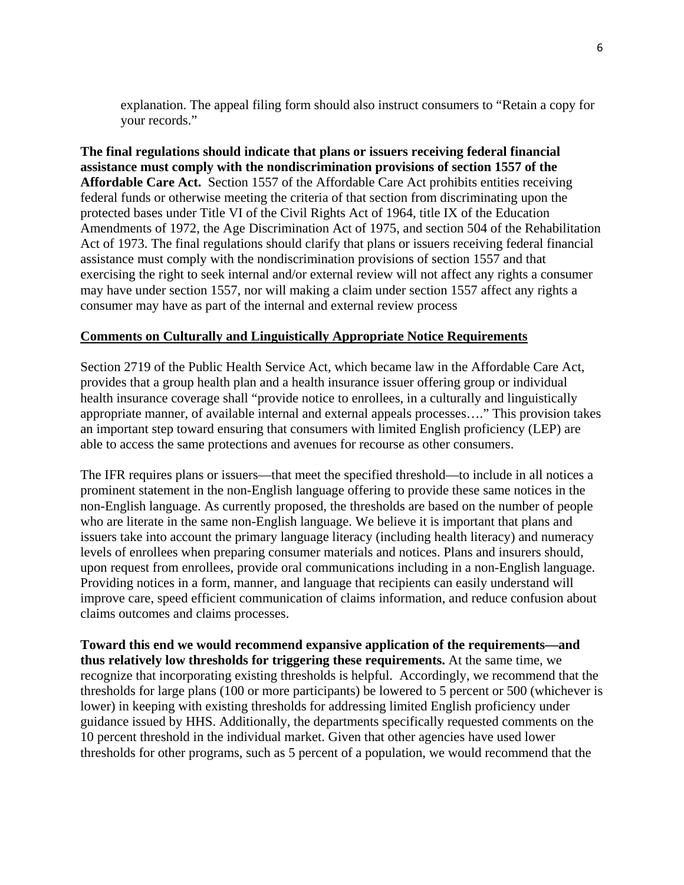explanation. The appeal filing form should also instruct consumers to "Retain a copy for your records."

**The final regulations should indicate that plans or issuers receiving federal financial assistance must comply with the nondiscrimination provisions of section 1557 of the Affordable Care Act.** Section 1557 of the Affordable Care Act prohibits entities receiving federal funds or otherwise meeting the criteria of that section from discriminating upon the protected bases under Title VI of the Civil Rights Act of 1964, title IX of the Education Amendments of 1972, the Age Discrimination Act of 1975, and section 504 of the Rehabilitation Act of 1973. The final regulations should clarify that plans or issuers receiving federal financial assistance must comply with the nondiscrimination provisions of section 1557 and that exercising the right to seek internal and/or external review will not affect any rights a consumer may have under section 1557, nor will making a claim under section 1557 affect any rights a consumer may have as part of the internal and external review process

## **Comments on Culturally and Linguistically Appropriate Notice Requirements**

Section 2719 of the Public Health Service Act, which became law in the Affordable Care Act, provides that a group health plan and a health insurance issuer offering group or individual health insurance coverage shall "provide notice to enrollees, in a culturally and linguistically appropriate manner, of available internal and external appeals processes…." This provision takes an important step toward ensuring that consumers with limited English proficiency (LEP) are able to access the same protections and avenues for recourse as other consumers.

The IFR requires plans or issuers—that meet the specified threshold—to include in all notices a prominent statement in the non-English language offering to provide these same notices in the non-English language. As currently proposed, the thresholds are based on the number of people who are literate in the same non-English language. We believe it is important that plans and issuers take into account the primary language literacy (including health literacy) and numeracy levels of enrollees when preparing consumer materials and notices. Plans and insurers should, upon request from enrollees, provide oral communications including in a non-English language. Providing notices in a form, manner, and language that recipients can easily understand will improve care, speed efficient communication of claims information, and reduce confusion about claims outcomes and claims processes.

**Toward this end we would recommend expansive application of the requirements—and thus relatively low thresholds for triggering these requirements.** At the same time, we recognize that incorporating existing thresholds is helpful. Accordingly, we recommend that the thresholds for large plans (100 or more participants) be lowered to 5 percent or 500 (whichever is lower) in keeping with existing thresholds for addressing limited English proficiency under guidance issued by HHS. Additionally, the departments specifically requested comments on the 10 percent threshold in the individual market. Given that other agencies have used lower thresholds for other programs, such as 5 percent of a population, we would recommend that the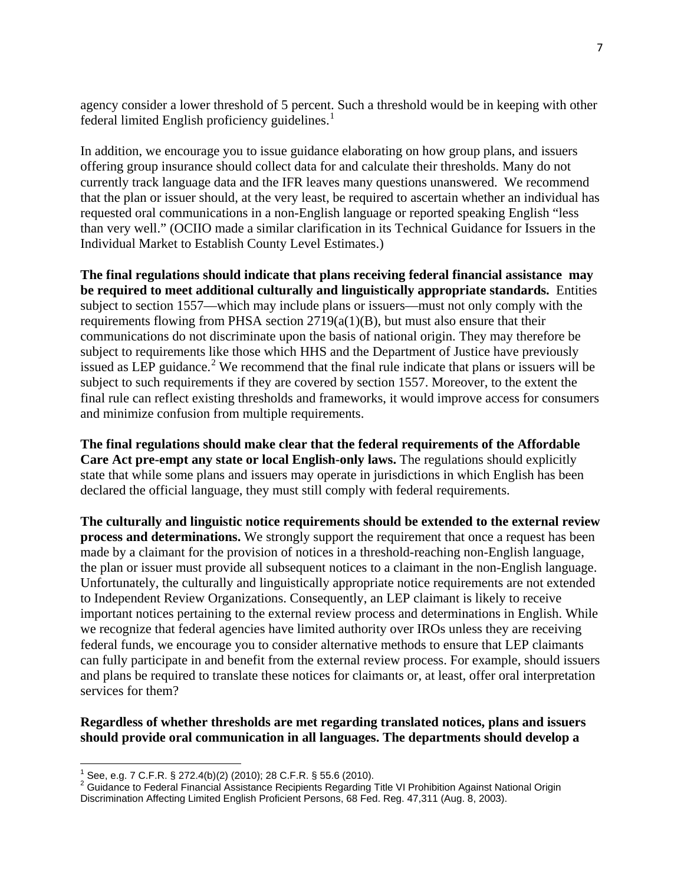agency consider a lower threshold of 5 percent. Such a threshold would be in keeping with other federal limited English proficiency guidelines. $<sup>1</sup>$  $<sup>1</sup>$  $<sup>1</sup>$ </sup>

In addition, we encourage you to issue guidance elaborating on how group plans, and issuers offering group insurance should collect data for and calculate their thresholds. Many do not currently track language data and the IFR leaves many questions unanswered. We recommend that the plan or issuer should, at the very least, be required to ascertain whether an individual has requested oral communications in a non-English language or reported speaking English "less than very well." (OCIIO made a similar clarification in its Technical Guidance for Issuers in the Individual Market to Establish County Level Estimates.)

**The final regulations should indicate that plans receiving federal financial assistance may be required to meet additional culturally and linguistically appropriate standards.** Entities subject to section 1557—which may include plans or issuers—must not only comply with the requirements flowing from PHSA section  $2719(a(1)(B)$ , but must also ensure that their communications do not discriminate upon the basis of national origin. They may therefore be subject to requirements like those which HHS and the Department of Justice have previously issued as LEP guidance.<sup>[2](#page-6-1)</sup> We recommend that the final rule indicate that plans or issuers will be subject to such requirements if they are covered by section 1557. Moreover, to the extent the final rule can reflect existing thresholds and frameworks, it would improve access for consumers and minimize confusion from multiple requirements.

**The final regulations should make clear that the federal requirements of the Affordable Care Act pre-empt any state or local English-only laws.** The regulations should explicitly state that while some plans and issuers may operate in jurisdictions in which English has been declared the official language, they must still comply with federal requirements.

**The culturally and linguistic notice requirements should be extended to the external review process and determinations.** We strongly support the requirement that once a request has been made by a claimant for the provision of notices in a threshold-reaching non-English language, the plan or issuer must provide all subsequent notices to a claimant in the non-English language. Unfortunately, the culturally and linguistically appropriate notice requirements are not extended to Independent Review Organizations. Consequently, an LEP claimant is likely to receive important notices pertaining to the external review process and determinations in English. While we recognize that federal agencies have limited authority over IROs unless they are receiving federal funds, we encourage you to consider alternative methods to ensure that LEP claimants can fully participate in and benefit from the external review process. For example, should issuers and plans be required to translate these notices for claimants or, at least, offer oral interpretation services for them?

**Regardless of whether thresholds are met regarding translated notices, plans and issuers should provide oral communication in all languages. The departments should develop a** 

<span id="page-6-0"></span> $\frac{1}{2}$  See, e.g. 7 C.F.R. § 272.4(b)(2) (2010); 28 C.F.R. § 55.6 (2010).<br>2 Cuidense to Eaderal Einancial Assistance Bosiniants Bogarding 7

<span id="page-6-1"></span><sup>&</sup>lt;sup>2</sup> Guidance to Federal Financial Assistance Recipients Regarding Title VI Prohibition Against National Origin Discrimination Affecting Limited English Proficient Persons, 68 Fed. Reg. 47,311 (Aug. 8, 2003).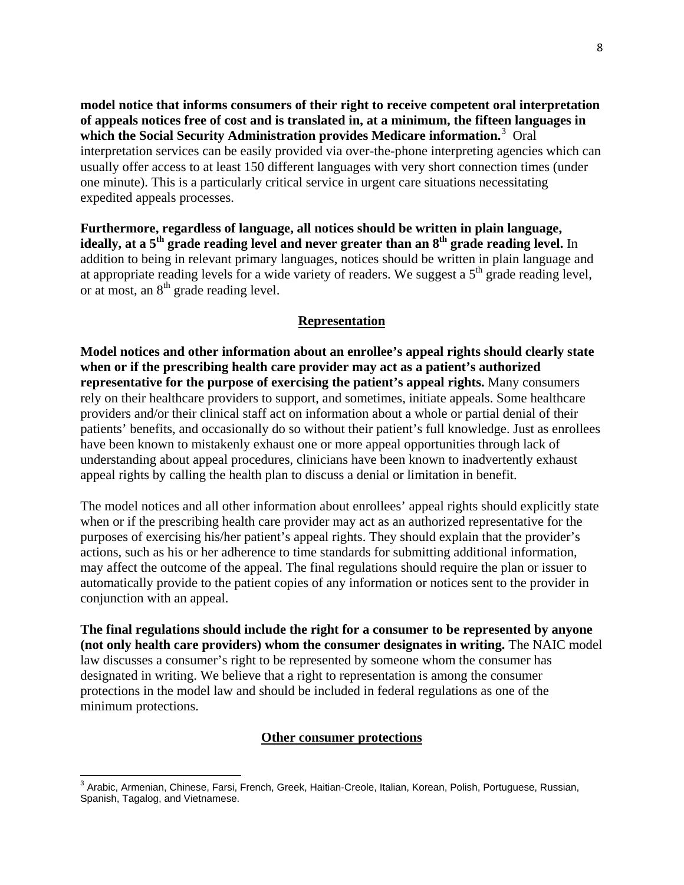**model notice that informs consumers of their right to receive competent oral interpretation of appeals notices free of cost and is translated in, at a minimum, the fifteen languages in which the Social Security Administration provides Medicare information.**[3](#page-7-0) Oral interpretation services can be easily provided via over-the-phone interpreting agencies which can usually offer access to at least 150 different languages with very short connection times (under one minute). This is a particularly critical service in urgent care situations necessitating expedited appeals processes.

**Furthermore, regardless of language, all notices should be written in plain language,**  ideally, at a 5<sup>th</sup> grade reading level and never greater than an 8<sup>th</sup> grade reading level. In addition to being in relevant primary languages, notices should be written in plain language and at appropriate reading levels for a wide variety of readers. We suggest a  $5<sup>th</sup>$  grade reading level, or at most, an  $8<sup>th</sup>$  grade reading level.

## **Representation**

**Model notices and other information about an enrollee's appeal rights should clearly state when or if the prescribing health care provider may act as a patient's authorized representative for the purpose of exercising the patient's appeal rights.** Many consumers rely on their healthcare providers to support, and sometimes, initiate appeals. Some healthcare providers and/or their clinical staff act on information about a whole or partial denial of their patients' benefits, and occasionally do so without their patient's full knowledge. Just as enrollees have been known to mistakenly exhaust one or more appeal opportunities through lack of understanding about appeal procedures, clinicians have been known to inadvertently exhaust appeal rights by calling the health plan to discuss a denial or limitation in benefit.

The model notices and all other information about enrollees' appeal rights should explicitly state when or if the prescribing health care provider may act as an authorized representative for the purposes of exercising his/her patient's appeal rights. They should explain that the provider's actions, such as his or her adherence to time standards for submitting additional information, may affect the outcome of the appeal. The final regulations should require the plan or issuer to automatically provide to the patient copies of any information or notices sent to the provider in conjunction with an appeal.

**The final regulations should include the right for a consumer to be represented by anyone (not only health care providers) whom the consumer designates in writing.** The NAIC model law discusses a consumer's right to be represented by someone whom the consumer has designated in writing. We believe that a right to representation is among the consumer protections in the model law and should be included in federal regulations as one of the minimum protections.

## **Other consumer protections**

<span id="page-7-0"></span> 3 Arabic, Armenian, Chinese, Farsi, French, Greek, Haitian-Creole, Italian, Korean, Polish, Portuguese, Russian, Spanish, Tagalog, and Vietnamese.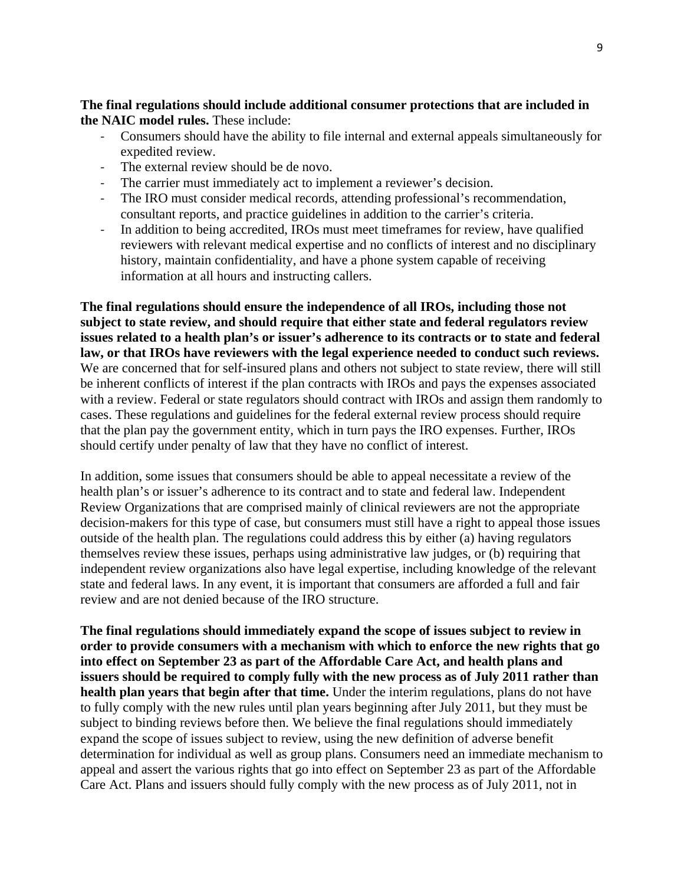**The final regulations should include additional consumer protections that are included in the NAIC model rules.** These include:

- ‐ Consumers should have the ability to file internal and external appeals simultaneously for expedited review.
- ‐ The external review should be de novo.
- The carrier must immediately act to implement a reviewer's decision.
- ‐ The IRO must consider medical records, attending professional's recommendation, consultant reports, and practice guidelines in addition to the carrier's criteria.
- ‐ In addition to being accredited, IROs must meet timeframes for review, have qualified reviewers with relevant medical expertise and no conflicts of interest and no disciplinary history, maintain confidentiality, and have a phone system capable of receiving information at all hours and instructing callers.

**The final regulations should ensure the independence of all IROs, including those not subject to state review, and should require that either state and federal regulators review issues related to a health plan's or issuer's adherence to its contracts or to state and federal law, or that IROs have reviewers with the legal experience needed to conduct such reviews.**  We are concerned that for self-insured plans and others not subject to state review, there will still be inherent conflicts of interest if the plan contracts with IROs and pays the expenses associated with a review. Federal or state regulators should contract with IROs and assign them randomly to cases. These regulations and guidelines for the federal external review process should require that the plan pay the government entity, which in turn pays the IRO expenses. Further, IROs should certify under penalty of law that they have no conflict of interest.

In addition, some issues that consumers should be able to appeal necessitate a review of the health plan's or issuer's adherence to its contract and to state and federal law. Independent Review Organizations that are comprised mainly of clinical reviewers are not the appropriate decision-makers for this type of case, but consumers must still have a right to appeal those issues outside of the health plan. The regulations could address this by either (a) having regulators themselves review these issues, perhaps using administrative law judges, or (b) requiring that independent review organizations also have legal expertise, including knowledge of the relevant state and federal laws. In any event, it is important that consumers are afforded a full and fair review and are not denied because of the IRO structure.

**The final regulations should immediately expand the scope of issues subject to review in order to provide consumers with a mechanism with which to enforce the new rights that go into effect on September 23 as part of the Affordable Care Act, and health plans and issuers should be required to comply fully with the new process as of July 2011 rather than health plan years that begin after that time.** Under the interim regulations, plans do not have to fully comply with the new rules until plan years beginning after July 2011, but they must be subject to binding reviews before then. We believe the final regulations should immediately expand the scope of issues subject to review, using the new definition of adverse benefit determination for individual as well as group plans. Consumers need an immediate mechanism to appeal and assert the various rights that go into effect on September 23 as part of the Affordable Care Act. Plans and issuers should fully comply with the new process as of July 2011, not in